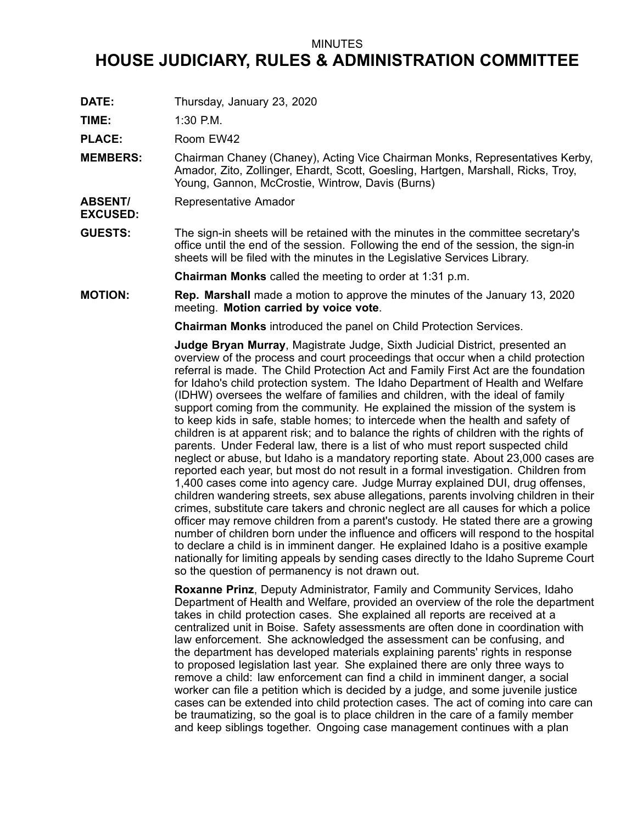## MINUTES

## **HOUSE JUDICIARY, RULES & ADMINISTRATION COMMITTEE**

**DATE:** Thursday, January 23, 2020

**TIME:** 1:30 P.M.

PLACE: Room EW42

- **MEMBERS:** Chairman Chaney (Chaney), Acting Vice Chairman Monks, Representatives Kerby, Amador, Zito, Zollinger, Ehardt, Scott, Goesling, Hartgen, Marshall, Ricks, Troy, Young, Gannon, McCrostie, Wintrow, Davis (Burns)
- **ABSENT/** Representative Amador
- **EXCUSED:**
- **GUESTS:** The sign-in sheets will be retained with the minutes in the committee secretary's office until the end of the session. Following the end of the session, the sign-in sheets will be filed with the minutes in the Legislative Services Library.

**Chairman Monks** called the meeting to order at 1:31 p.m.

**MOTION: Rep. Marshall** made <sup>a</sup> motion to approve the minutes of the January 13, 2020 meeting. **Motion carried by voice vote**.

**Chairman Monks** introduced the panel on Child Protection Services.

**Judge Bryan Murray**, Magistrate Judge, Sixth Judicial District, presented an overview of the process and court proceedings that occur when <sup>a</sup> child protection referral is made. The Child Protection Act and Family First Act are the foundation for Idaho's child protection system. The Idaho Department of Health and Welfare (IDHW) oversees the welfare of families and children, with the ideal of family support coming from the community. He explained the mission of the system is to keep kids in safe, stable homes; to intercede when the health and safety of children is at apparent risk; and to balance the rights of children with the rights of parents. Under Federal law, there is <sup>a</sup> list of who must report suspected child neglect or abuse, but Idaho is <sup>a</sup> mandatory reporting state. About 23,000 cases are reported each year, but most do not result in <sup>a</sup> formal investigation. Children from 1,400 cases come into agency care. Judge Murray explained DUI, drug offenses, children wandering streets, sex abuse allegations, parents involving children in their crimes, substitute care takers and chronic neglect are all causes for which <sup>a</sup> police officer may remove children from <sup>a</sup> parent's custody. He stated there are <sup>a</sup> growing number of children born under the influence and officers will respond to the hospital to declare <sup>a</sup> child is in imminent danger. He explained Idaho is <sup>a</sup> positive example nationally for limiting appeals by sending cases directly to the Idaho Supreme Court so the question of permanency is not drawn out.

**Roxanne Prinz**, Deputy Administrator, Family and Community Services, Idaho Department of Health and Welfare, provided an overview of the role the department takes in child protection cases. She explained all reports are received at <sup>a</sup> centralized unit in Boise. Safety assessments are often done in coordination with law enforcement. She acknowledged the assessment can be confusing, and the department has developed materials explaining parents' rights in response to proposed legislation last year. She explained there are only three ways to remove <sup>a</sup> child: law enforcement can find <sup>a</sup> child in imminent danger, <sup>a</sup> social worker can file <sup>a</sup> petition which is decided by <sup>a</sup> judge, and some juvenile justice cases can be extended into child protection cases. The act of coming into care can be traumatizing, so the goal is to place children in the care of <sup>a</sup> family member and keep siblings together. Ongoing case management continues with <sup>a</sup> plan